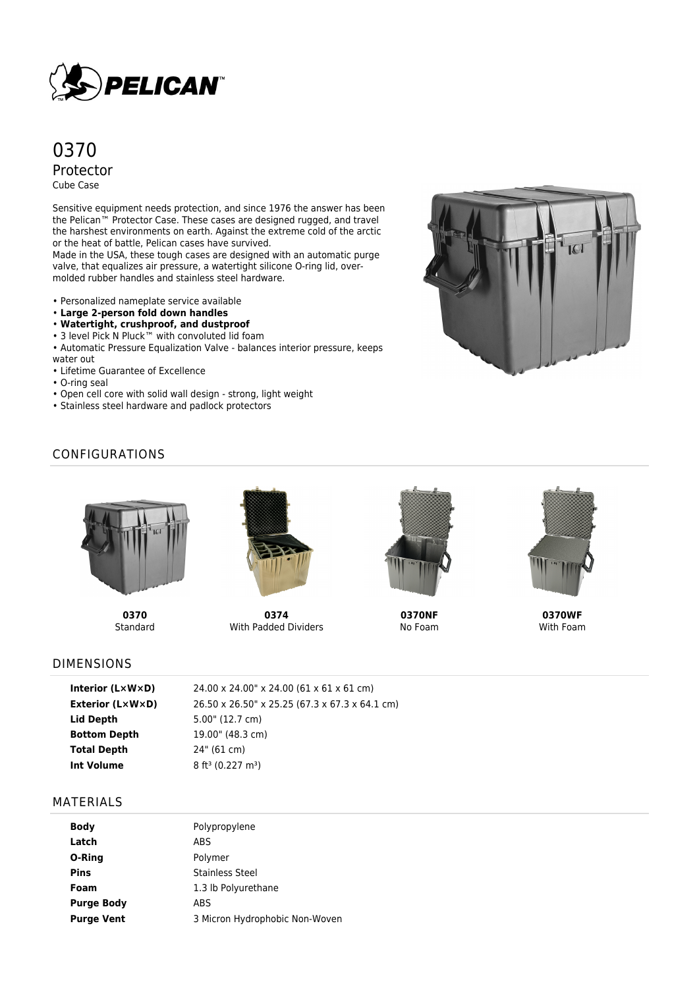

# 0370 Protector Cube Case

Sensitive equipment needs protection, and since 1976 the answer has been the Pelican™ Protector Case. These cases are designed rugged, and travel the harshest environments on earth. Against the extreme cold of the arctic or the heat of battle, Pelican cases have survived.

Made in the USA, these tough cases are designed with an automatic purge valve, that equalizes air pressure, a watertight silicone O-ring lid, overmolded rubber handles and stainless steel hardware.

• Personalized nameplate service available

- **Large 2-person fold down handles**
- **Watertight, crushproof, and dustproof**
- 3 level Pick N Pluck™ with convoluted lid foam

• Automatic Pressure Equalization Valve - balances interior pressure, keeps water out

- Lifetime Guarantee of Excellence
- O-ring seal
- Open cell core with solid wall design strong, light weight
- Stainless steel hardware and padlock protectors



## CONFIGURATIONS



**0370 Standard** 



**0374** With Padded Dividers



**0370NF** No Foam



**0370WF** With Foam

## DIMENSIONS

| Interior (LxWxD)        | 24.00 x 24.00" x 24.00 (61 x 61 x 61 cm)       |
|-------------------------|------------------------------------------------|
| <b>Exterior (L×W×D)</b> | 26.50 x 26.50" x 25.25 (67.3 x 67.3 x 64.1 cm) |
| Lid Depth               | $5.00$ " (12.7 cm)                             |
| <b>Bottom Depth</b>     | 19.00" (48.3 cm)                               |
| <b>Total Depth</b>      | 24" (61 cm)                                    |
| Int Volume              | $8$ ft <sup>3</sup> (0.227 m <sup>3</sup> )    |

### MATERIALS

| <b>Body</b>       | Polypropylene                  |
|-------------------|--------------------------------|
| Latch             | ABS                            |
| O-Ring            | Polymer                        |
| <b>Pins</b>       | <b>Stainless Steel</b>         |
| Foam              | 1.3 lb Polyurethane            |
| <b>Purge Body</b> | ABS                            |
| <b>Purge Vent</b> | 3 Micron Hydrophobic Non-Woven |
|                   |                                |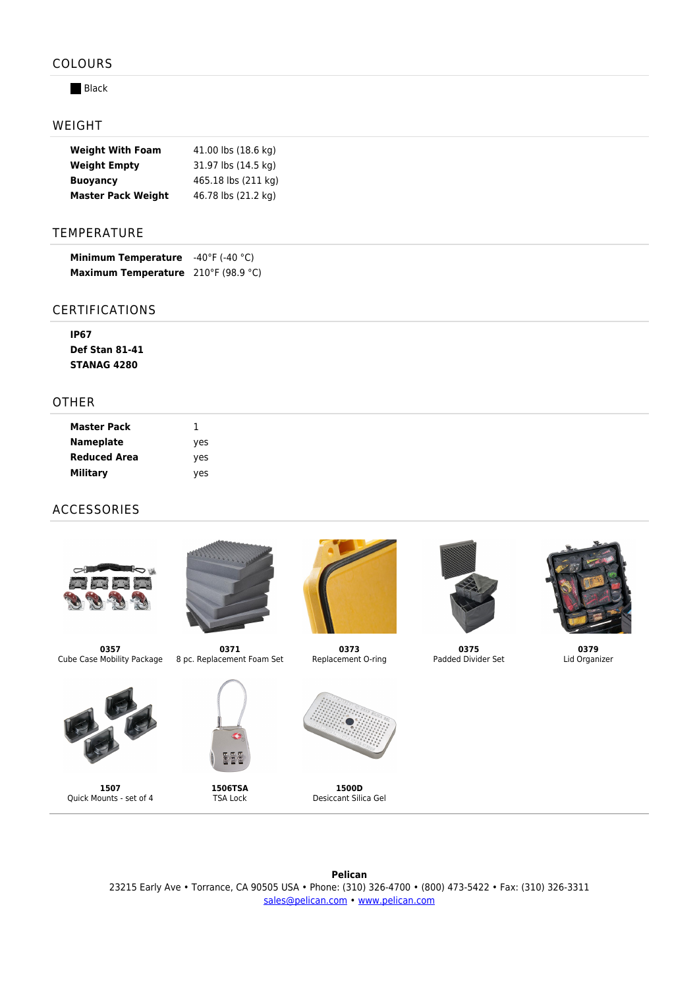### COLOURS

#### **Black**

#### WEIGHT

| <b>Weight With Foam</b>   | 41.00 lbs (18.6 kg) |
|---------------------------|---------------------|
| <b>Weight Empty</b>       | 31.97 lbs (14.5 kg) |
| <b>Buoyancy</b>           | 465.18 lbs (211 kg) |
| <b>Master Pack Weight</b> | 46.78 lbs (21.2 kg) |

#### TEMPERATURE

| <b>Minimum Temperature</b>                 | $-40^{\circ}$ F (-40 $^{\circ}$ C) |
|--------------------------------------------|------------------------------------|
| <b>Maximum Temperature</b> 210°F (98.9 °C) |                                    |

#### CERTIFICATIONS

| IP67                  |
|-----------------------|
| <b>Def Stan 81-41</b> |
| <b>STANAG 4280</b>    |

### OTHER

| <b>Master Pack</b>  |     |
|---------------------|-----|
| <b>Nameplate</b>    | yes |
| <b>Reduced Area</b> | ves |
| <b>Military</b>     | yes |

## ACCESSORIES





**0371**

**0357** Cube Case Mobility Package 8 pc. Replacement Foam Set



**1507** Quick Mounts - set of 4



동물 **1506TSA**

TSA Lock



**0373** Replacement O-ring



**0375** Padded Divider Set



**0379** Lid Organizer

**Pelican** 23215 Early Ave • Torrance, CA 90505 USA • Phone: (310) 326-4700 • (800) 473-5422 • Fax: (310) 326-3311 [sales@pelican.com](mailto:sales@pelican.com) • [www.pelican.com](http://www.pelican.com)

**1500D** Desiccant Silica Gel